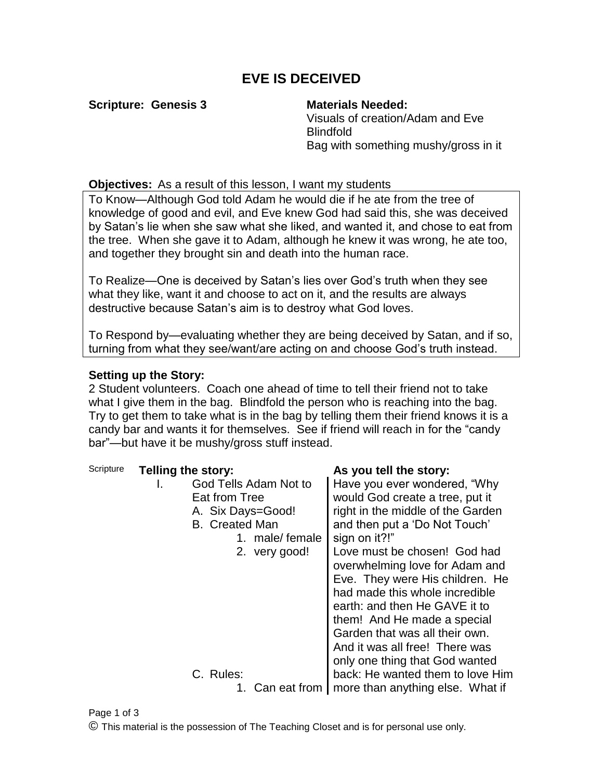## **EVE IS DECEIVED**

**Scripture: Genesis 3 Materials Needed:**

Visuals of creation/Adam and Eve Blindfold Bag with something mushy/gross in it

**Objectives:** As a result of this lesson, I want my students

To Know—Although God told Adam he would die if he ate from the tree of knowledge of good and evil, and Eve knew God had said this, she was deceived by Satan's lie when she saw what she liked, and wanted it, and chose to eat from the tree. When she gave it to Adam, although he knew it was wrong, he ate too, and together they brought sin and death into the human race.

To Realize—One is deceived by Satan's lies over God's truth when they see what they like, want it and choose to act on it, and the results are always destructive because Satan's aim is to destroy what God loves.

To Respond by—evaluating whether they are being deceived by Satan, and if so, turning from what they see/want/are acting on and choose God's truth instead.

## **Setting up the Story:**

2 Student volunteers. Coach one ahead of time to tell their friend not to take what I give them in the bag. Blindfold the person who is reaching into the bag. Try to get them to take what is in the bag by telling them their friend knows it is a candy bar and wants it for themselves. See if friend will reach in for the "candy bar"—but have it be mushy/gross stuff instead.

| Scripture | Telling the story:          | As you tell the story:            |
|-----------|-----------------------------|-----------------------------------|
|           | God Tells Adam Not to<br>I. | Have you ever wondered, "Why      |
|           | Eat from Tree               | would God create a tree, put it   |
|           | A. Six Days=Good!           | right in the middle of the Garden |
|           | <b>B.</b> Created Man       | and then put a 'Do Not Touch'     |
|           | 1. male/female              | sign on it?!"                     |
|           | 2. very good!               | Love must be chosen! God had      |
|           |                             | overwhelming love for Adam and    |
|           |                             | Eve. They were His children. He   |
|           |                             | had made this whole incredible    |
|           |                             | earth: and then He GAVE it to     |
|           |                             | them! And He made a special       |
|           |                             | Garden that was all their own.    |
|           |                             | And it was all free! There was    |
|           |                             | only one thing that God wanted    |
|           | C. Rules:                   | back: He wanted them to love Him  |
|           | 1. Can eat from             | more than anything else. What if  |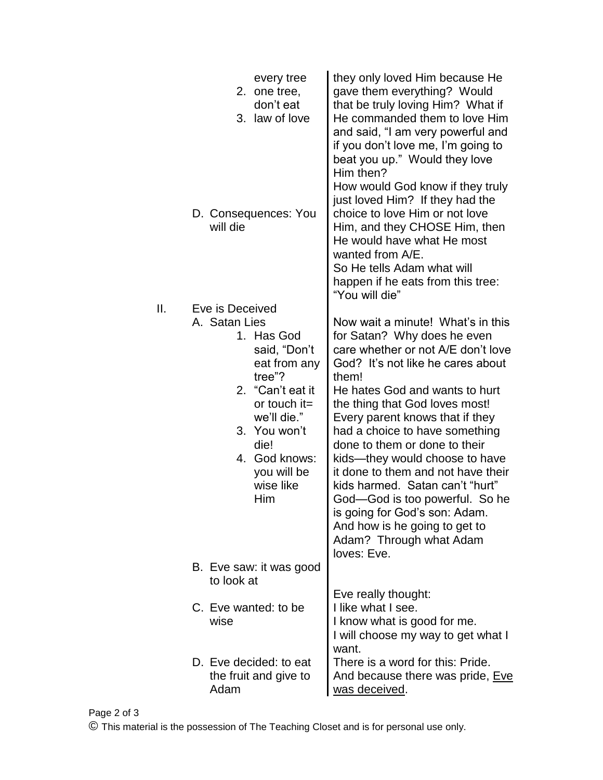|     | every tree<br>2. one tree,<br>don't eat<br>3. law of love<br>D. Consequences: You<br>will die                                                                                                                             | they only loved Him because He<br>gave them everything? Would<br>that be truly loving Him? What if<br>He commanded them to love Him<br>and said, "I am very powerful and<br>if you don't love me, I'm going to<br>beat you up." Would they love<br>Him then?<br>How would God know if they truly<br>just loved Him? If they had the<br>choice to love Him or not love<br>Him, and they CHOSE Him, then<br>He would have what He most<br>wanted from A/E.<br>So He tells Adam what will<br>happen if he eats from this tree:<br>"You will die"                                           |
|-----|---------------------------------------------------------------------------------------------------------------------------------------------------------------------------------------------------------------------------|-----------------------------------------------------------------------------------------------------------------------------------------------------------------------------------------------------------------------------------------------------------------------------------------------------------------------------------------------------------------------------------------------------------------------------------------------------------------------------------------------------------------------------------------------------------------------------------------|
| ΙΙ. | Eve is Deceived<br>A. Satan Lies<br>1. Has God<br>said, "Don't<br>eat from any<br>tree"?<br>2. "Can't eat it<br>or touch $it=$<br>we'll die."<br>3. You won't<br>die!<br>4. God knows:<br>you will be<br>wise like<br>Him | Now wait a minute! What's in this<br>for Satan? Why does he even<br>care whether or not A/E don't love<br>God? It's not like he cares about<br>them!<br>He hates God and wants to hurt<br>the thing that God loves most!<br>Every parent knows that if they<br>had a choice to have something<br>done to them or done to their<br>kids—they would choose to have<br>it done to them and not have their<br>kids harmed. Satan can't "hurt"<br>God-God is too powerful. So he<br>is going for God's son: Adam.<br>And how is he going to get to<br>Adam? Through what Adam<br>loves: Eve. |
|     | B. Eve saw: it was good<br>to look at                                                                                                                                                                                     |                                                                                                                                                                                                                                                                                                                                                                                                                                                                                                                                                                                         |
|     | C. Eve wanted: to be<br>wise                                                                                                                                                                                              | Eve really thought:<br>I like what I see.<br>I know what is good for me.<br>I will choose my way to get what I<br>want.                                                                                                                                                                                                                                                                                                                                                                                                                                                                 |
|     | D. Eve decided: to eat<br>the fruit and give to<br>Adam                                                                                                                                                                   | There is a word for this: Pride.<br>And because there was pride, Eve<br>was deceived.                                                                                                                                                                                                                                                                                                                                                                                                                                                                                                   |

© This material is the possession of The Teaching Closet and is for personal use only.